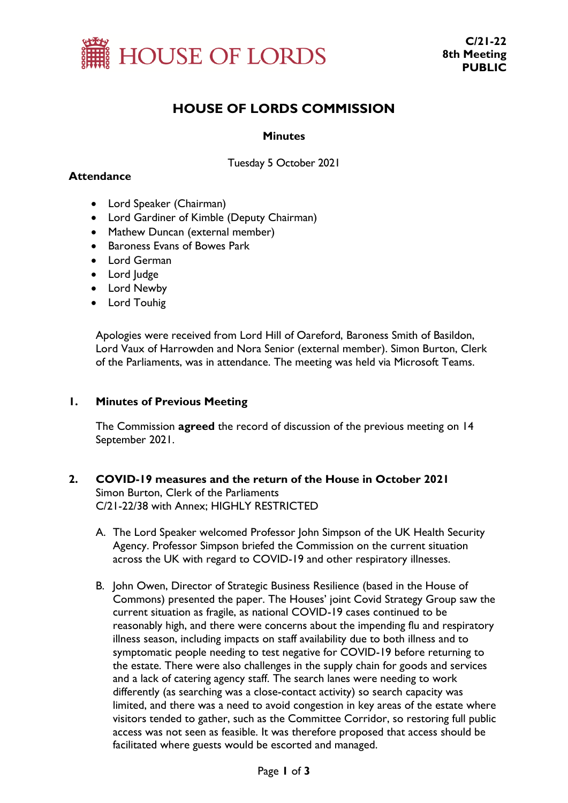

# **HOUSE OF LORDS COMMISSION**

#### **Minutes**

Tuesday 5 October 2021

### **Attendance**

- Lord Speaker (Chairman)
- Lord Gardiner of Kimble (Deputy Chairman)
- Mathew Duncan (external member)
- Baroness Evans of Bowes Park
- Lord German
- Lord Judge
- Lord Newby
- Lord Touhig

Apologies were received from Lord Hill of Oareford, Baroness Smith of Basildon, Lord Vaux of Harrowden and Nora Senior (external member). Simon Burton, Clerk of the Parliaments, was in attendance. The meeting was held via Microsoft Teams.

#### **1. Minutes of Previous Meeting**

The Commission **agreed** the record of discussion of the previous meeting on 14 September 2021.

#### **2. COVID-19 measures and the return of the House in October 2021** Simon Burton, Clerk of the Parliaments C/21-22/38 with Annex; HIGHLY RESTRICTED

- A. The Lord Speaker welcomed Professor John Simpson of the UK Health Security Agency. Professor Simpson briefed the Commission on the current situation across the UK with regard to COVID-19 and other respiratory illnesses.
- B. John Owen, Director of Strategic Business Resilience (based in the House of Commons) presented the paper. The Houses' joint Covid Strategy Group saw the current situation as fragile, as national COVID-19 cases continued to be reasonably high, and there were concerns about the impending flu and respiratory illness season, including impacts on staff availability due to both illness and to symptomatic people needing to test negative for COVID-19 before returning to the estate. There were also challenges in the supply chain for goods and services and a lack of catering agency staff. The search lanes were needing to work differently (as searching was a close-contact activity) so search capacity was limited, and there was a need to avoid congestion in key areas of the estate where visitors tended to gather, such as the Committee Corridor, so restoring full public access was not seen as feasible. It was therefore proposed that access should be facilitated where guests would be escorted and managed.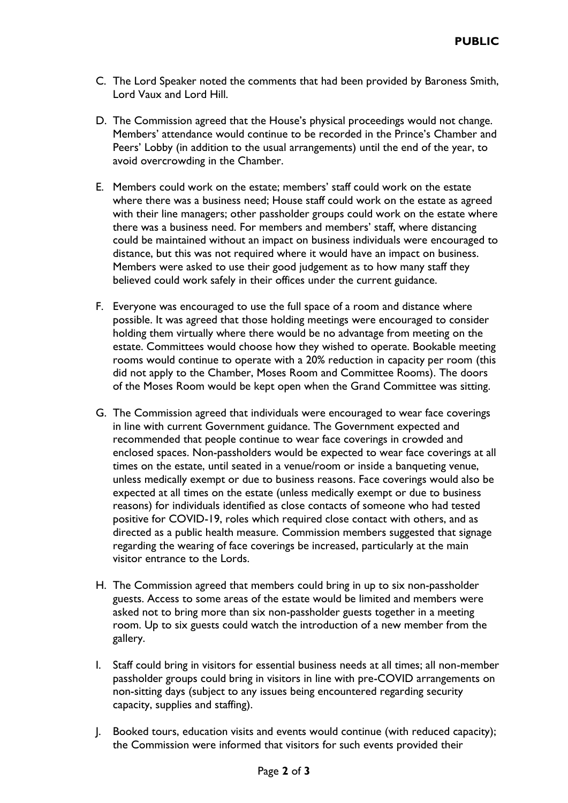- C. The Lord Speaker noted the comments that had been provided by Baroness Smith, Lord Vaux and Lord Hill.
- D. The Commission agreed that the House's physical proceedings would not change. Members' attendance would continue to be recorded in the Prince's Chamber and Peers' Lobby (in addition to the usual arrangements) until the end of the year, to avoid overcrowding in the Chamber.
- E. Members could work on the estate; members' staff could work on the estate where there was a business need; House staff could work on the estate as agreed with their line managers; other passholder groups could work on the estate where there was a business need. For members and members' staff, where distancing could be maintained without an impact on business individuals were encouraged to distance, but this was not required where it would have an impact on business. Members were asked to use their good judgement as to how many staff they believed could work safely in their offices under the current guidance.
- F. Everyone was encouraged to use the full space of a room and distance where possible. It was agreed that those holding meetings were encouraged to consider holding them virtually where there would be no advantage from meeting on the estate. Committees would choose how they wished to operate. Bookable meeting rooms would continue to operate with a 20% reduction in capacity per room (this did not apply to the Chamber, Moses Room and Committee Rooms). The doors of the Moses Room would be kept open when the Grand Committee was sitting.
- G. The Commission agreed that individuals were encouraged to wear face coverings in line with current Government guidance. The Government expected and recommended that people continue to wear face coverings in crowded and enclosed spaces. Non-passholders would be expected to wear face coverings at all times on the estate, until seated in a venue/room or inside a banqueting venue, unless medically exempt or due to business reasons. Face coverings would also be expected at all times on the estate (unless medically exempt or due to business reasons) for individuals identified as close contacts of someone who had tested positive for COVID-19, roles which required close contact with others, and as directed as a public health measure. Commission members suggested that signage regarding the wearing of face coverings be increased, particularly at the main visitor entrance to the Lords.
- H. The Commission agreed that members could bring in up to six non-passholder guests. Access to some areas of the estate would be limited and members were asked not to bring more than six non-passholder guests together in a meeting room. Up to six guests could watch the introduction of a new member from the gallery.
- I. Staff could bring in visitors for essential business needs at all times; all non-member passholder groups could bring in visitors in line with pre-COVID arrangements on non-sitting days (subject to any issues being encountered regarding security capacity, supplies and staffing).
- J. Booked tours, education visits and events would continue (with reduced capacity); the Commission were informed that visitors for such events provided their